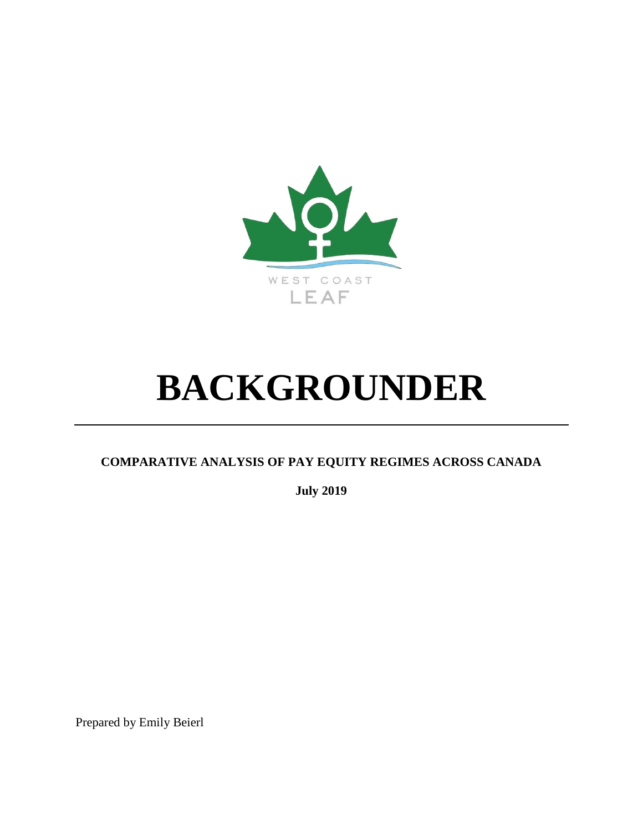

# **BACKGROUNDER**

# **COMPARATIVE ANALYSIS OF PAY EQUITY REGIMES ACROSS CANADA**

**July 2019**

Prepared by Emily Beierl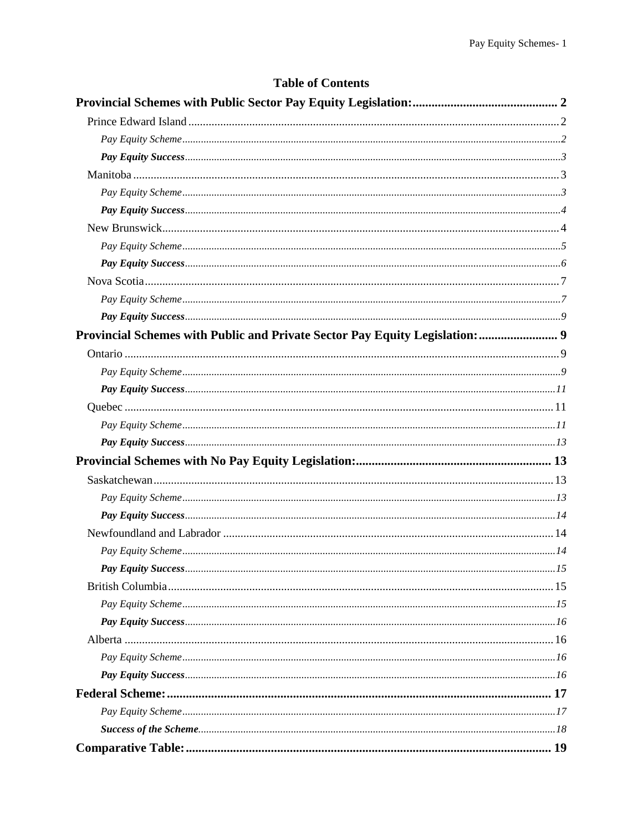| <b>Table of Contents</b>                                                     |  |
|------------------------------------------------------------------------------|--|
|                                                                              |  |
|                                                                              |  |
|                                                                              |  |
|                                                                              |  |
|                                                                              |  |
|                                                                              |  |
|                                                                              |  |
|                                                                              |  |
|                                                                              |  |
|                                                                              |  |
|                                                                              |  |
|                                                                              |  |
|                                                                              |  |
| Provincial Schemes with Public and Private Sector Pay Equity Legislation:  9 |  |
|                                                                              |  |
|                                                                              |  |
|                                                                              |  |
|                                                                              |  |
|                                                                              |  |
|                                                                              |  |
|                                                                              |  |
|                                                                              |  |
|                                                                              |  |
|                                                                              |  |
|                                                                              |  |
|                                                                              |  |
|                                                                              |  |
|                                                                              |  |
|                                                                              |  |
|                                                                              |  |
|                                                                              |  |
|                                                                              |  |
|                                                                              |  |
|                                                                              |  |
|                                                                              |  |
|                                                                              |  |
|                                                                              |  |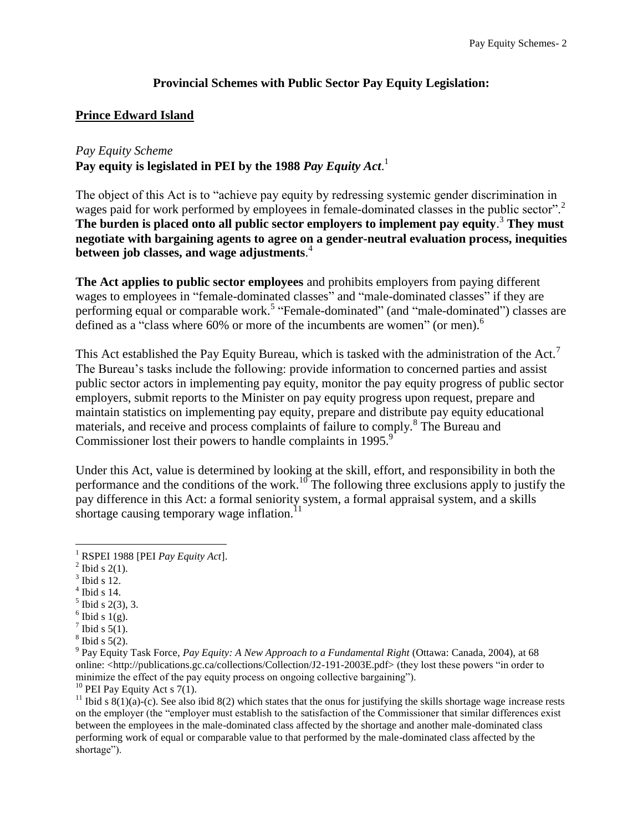#### **Provincial Schemes with Public Sector Pay Equity Legislation:**

#### <span id="page-2-1"></span><span id="page-2-0"></span>**Prince Edward Island**

#### <span id="page-2-2"></span>*Pay Equity Scheme*

**Pay equity is legislated in PEI by the 1988** *Pay Equity Act*. 1

The object of this Act is to "achieve pay equity by redressing systemic gender discrimination in wages paid for work performed by employees in female-dominated classes in the public sector".<sup>2</sup> **The burden is placed onto all public sector employers to implement pay equity**. <sup>3</sup> **They must negotiate with bargaining agents to agree on a gender-neutral evaluation process, inequities between job classes, and wage adjustments**. 4

**The Act applies to public sector employees** and prohibits employers from paying different wages to employees in "female-dominated classes" and "male-dominated classes" if they are performing equal or comparable work.<sup>5</sup> "Female-dominated" (and "male-dominated") classes are defined as a "class where 60% or more of the incumbents are women" (or men).<sup>6</sup>

This Act established the Pay Equity Bureau, which is tasked with the administration of the Act.<sup>7</sup> The Bureau's tasks include the following: provide information to concerned parties and assist public sector actors in implementing pay equity, monitor the pay equity progress of public sector employers, submit reports to the Minister on pay equity progress upon request, prepare and maintain statistics on implementing pay equity, prepare and distribute pay equity educational materials, and receive and process complaints of failure to comply.<sup>8</sup> The Bureau and Commissioner lost their powers to handle complaints in 1995.<sup>9</sup>

Under this Act, value is determined by looking at the skill, effort, and responsibility in both the performance and the conditions of the work.<sup>10</sup> The following three exclusions apply to justify the pay difference in this Act: a formal seniority system, a formal appraisal system, and a skills shortage causing temporary wage inflation.<sup>11</sup>

- $3$  Ibid s 12.
- $<sup>4</sup>$  Ibid s 14.</sup>
- $<sup>5</sup>$  Ibid s 2(3), 3.</sup>
- $6$  Ibid s 1(g).
- $7$  Ibid s 5(1).
- $8$  Ibid s 5(2).

<sup>10</sup> PEI Pay Equity Act s  $7(1)$ .

 $\overline{a}$ <sup>1</sup> RSPEI 1988 [PEI *Pay Equity Act*].

 $2^2$  Ibid s 2(1).

<sup>9</sup> Pay Equity Task Force, *Pay Equity: A New Approach to a Fundamental Right* (Ottawa: Canada, 2004), at 68 online: <http://publications.gc.ca/collections/Collection/J2-191-2003E.pdf> (they lost these powers "in order to minimize the effect of the pay equity process on ongoing collective bargaining").

<sup>&</sup>lt;sup>11</sup> Ibid s  $8(1)(a)$ -(c). See also ibid 8(2) which states that the onus for justifying the skills shortage wage increase rests on the employer (the "employer must establish to the satisfaction of the Commissioner that similar differences exist between the employees in the male-dominated class affected by the shortage and another male-dominated class performing work of equal or comparable value to that performed by the male-dominated class affected by the shortage").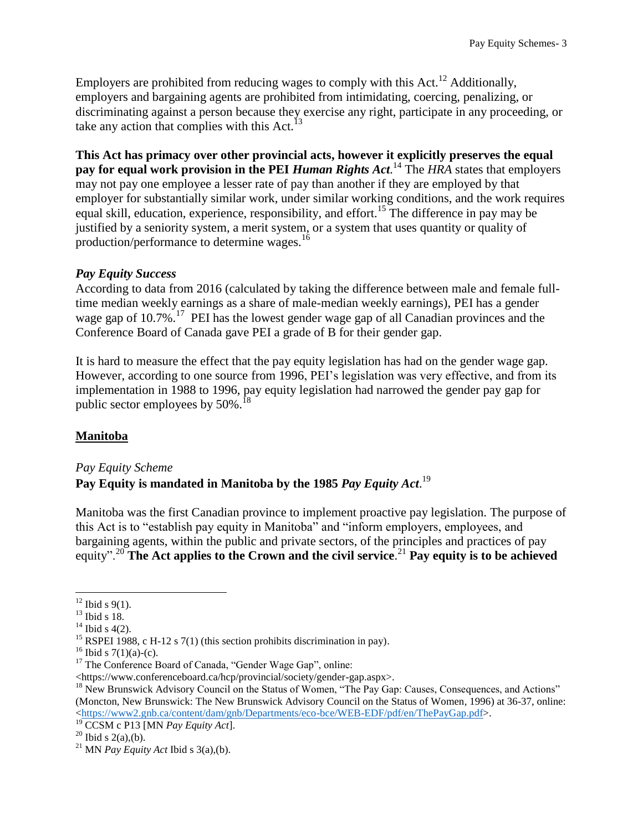Employers are prohibited from reducing wages to comply with this Act.<sup>12</sup> Additionally, employers and bargaining agents are prohibited from intimidating, coercing, penalizing, or discriminating against a person because they exercise any right, participate in any proceeding, or take any action that complies with this Act. $^{13}$ 

**This Act has primacy over other provincial acts, however it explicitly preserves the equal pay for equal work provision in the PEI** *Human Rights Act.* <sup>14</sup> The *HRA* states that employers may not pay one employee a lesser rate of pay than another if they are employed by that employer for substantially similar work, under similar working conditions, and the work requires equal skill, education, experience, responsibility, and effort.<sup>15</sup> The difference in pay may be justified by a seniority system, a merit system, or a system that uses quantity or quality of production/performance to determine wages.<sup>16</sup>

#### <span id="page-3-0"></span>*Pay Equity Success*

According to data from 2016 (calculated by taking the difference between male and female fulltime median weekly earnings as a share of male-median weekly earnings), PEI has a gender wage gap of  $10.7\%$ <sup>17</sup> PEI has the lowest gender wage gap of all Canadian provinces and the Conference Board of Canada gave PEI a grade of B for their gender gap.

It is hard to measure the effect that the pay equity legislation has had on the gender wage gap. However, according to one source from 1996, PEI's legislation was very effective, and from its implementation in 1988 to 1996, pay equity legislation had narrowed the gender pay gap for public sector employees by  $50\%$ .<sup>18</sup>

#### <span id="page-3-1"></span>**Manitoba**

<span id="page-3-2"></span>*Pay Equity Scheme*

## **Pay Equity is mandated in Manitoba by the 1985** *Pay Equity Act*. 19

Manitoba was the first Canadian province to implement proactive pay legislation. The purpose of this Act is to "establish pay equity in Manitoba" and "inform employers, employees, and bargaining agents, within the public and private sectors, of the principles and practices of pay equity".<sup>20</sup> **The Act applies to the Crown and the civil service**. <sup>21</sup> **Pay equity is to be achieved** 

 $12$  Ibid s 9(1).

 $13$  Ibid s 18.

 $14$  Ibid s 4(2).

<sup>&</sup>lt;sup>15</sup> RSPEI 1988, c H-12 s 7(1) (this section prohibits discrimination in pay).

 $16$  Ibid s 7(1)(a)-(c).

<sup>&</sup>lt;sup>17</sup> The Conference Board of Canada, "Gender Wage Gap", online:

<sup>&</sup>lt;https://www.conferenceboard.ca/hcp/provincial/society/gender-gap.aspx>.

<sup>&</sup>lt;sup>18</sup> New Brunswick Advisory Council on the Status of Women, "The Pay Gap: Causes, Consequences, and Actions" (Moncton, New Brunswick: The New Brunswick Advisory Council on the Status of Women, 1996) at 36-37, online: [<https://www2.gnb.ca/content/dam/gnb/Departments/eco-bce/WEB-EDF/pdf/en/ThePayGap.pdf>](https://www2.gnb.ca/content/dam/gnb/Departments/eco-bce/WEB-EDF/pdf/en/ThePayGap.pdf).

<sup>19</sup> CCSM c P13 [MN *Pay Equity Act*].

 $^{20}$  Ibid s 2(a),(b).

<sup>&</sup>lt;sup>21</sup> MN *Pay Equity Act* Ibid s 3(a),(b).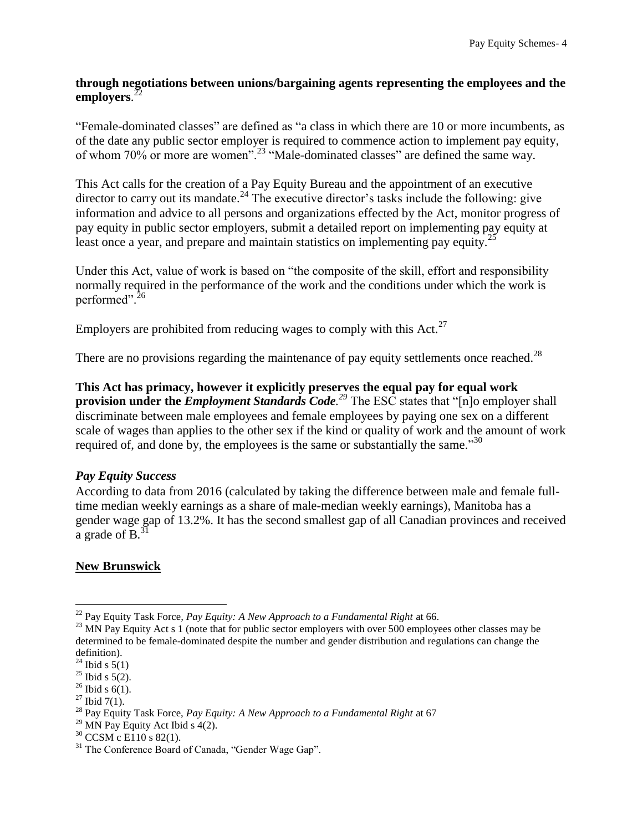#### **through negotiations between unions/bargaining agents representing the employees and the employers**. 22

"Female-dominated classes" are defined as "a class in which there are 10 or more incumbents, as of the date any public sector employer is required to commence action to implement pay equity, of whom 70% or more are women".<sup>23</sup> "Male-dominated classes" are defined the same way.

This Act calls for the creation of a Pay Equity Bureau and the appointment of an executive director to carry out its mandate.<sup>24</sup> The executive director's tasks include the following: give information and advice to all persons and organizations effected by the Act, monitor progress of pay equity in public sector employers, submit a detailed report on implementing pay equity at least once a year, and prepare and maintain statistics on implementing pay equity.<sup>2</sup>

Under this Act, value of work is based on "the composite of the skill, effort and responsibility normally required in the performance of the work and the conditions under which the work is performed".<sup>26</sup>

Employers are prohibited from reducing wages to comply with this Act.<sup>27</sup>

There are no provisions regarding the maintenance of pay equity settlements once reached.<sup>28</sup>

**This Act has primacy, however it explicitly preserves the equal pay for equal work provision under the** *Employment Standards Code. <sup>29</sup>* The ESC states that "[n]o employer shall discriminate between male employees and female employees by paying one sex on a different scale of wages than applies to the other sex if the kind or quality of work and the amount of work required of, and done by, the employees is the same or substantially the same.<sup>30</sup>

#### <span id="page-4-0"></span>*Pay Equity Success*

According to data from 2016 (calculated by taking the difference between male and female fulltime median weekly earnings as a share of male-median weekly earnings), Manitoba has a gender wage gap of 13.2%. It has the second smallest gap of all Canadian provinces and received a grade of  $B<sup>31</sup>$ .

#### <span id="page-4-1"></span>**New Brunswick**

<sup>22</sup> Pay Equity Task Force*, Pay Equity: A New Approach to a Fundamental Right* at 66.

<sup>&</sup>lt;sup>23</sup> MN Pay Equity Act s 1 (note that for public sector employers with over 500 employees other classes may be determined to be female-dominated despite the number and gender distribution and regulations can change the definition).

 $24$  Ibid s 5(1)

 $25$  Ibid s 5(2).

 $26$  Ibid s 6(1).

 $27$  Ibid 7(1).

<sup>&</sup>lt;sup>28</sup> Pay Equity Task Force, *Pay Equity: A New Approach to a Fundamental Right* at 67

<sup>&</sup>lt;sup>29</sup> MN Pay Equity Act Ibid s  $4(2)$ .

 $30$  CCSM c E110 s 82(1).

<sup>&</sup>lt;sup>31</sup> The Conference Board of Canada, "Gender Wage Gap".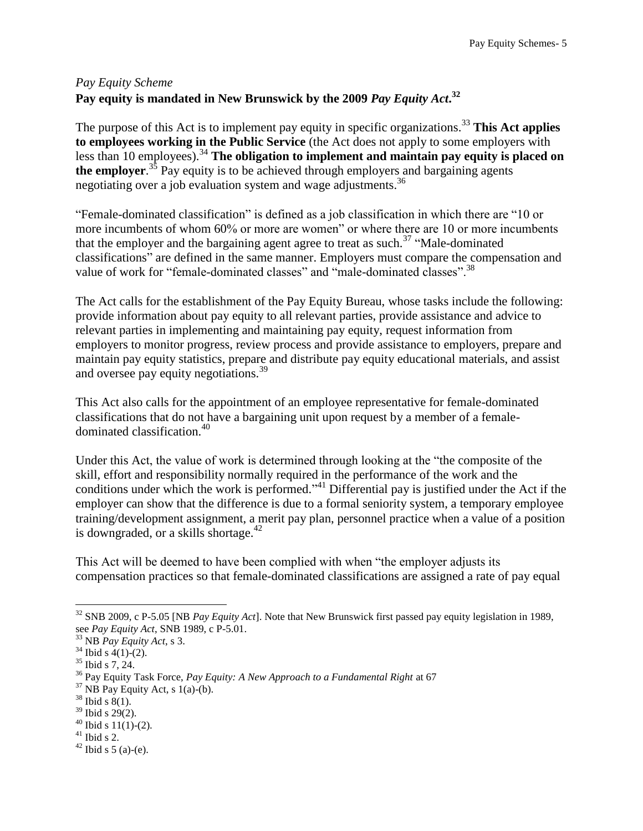# <span id="page-5-0"></span>*Pay Equity Scheme* **Pay equity is mandated in New Brunswick by the 2009** *Pay Equity Act***. 32**

The purpose of this Act is to implement pay equity in specific organizations.<sup>33</sup> This Act applies **to employees working in the Public Service** (the Act does not apply to some employers with less than 10 employees).<sup>34</sup> The obligation to implement and maintain pay equity is placed on the employer.<sup>35</sup> Pay equity is to be achieved through employers and bargaining agents negotiating over a job evaluation system and wage adjustments.<sup>36</sup>

"Female-dominated classification" is defined as a job classification in which there are "10 or more incumbents of whom 60% or more are women" or where there are 10 or more incumbents that the employer and the bargaining agent agree to treat as such.<sup>37</sup> "Male-dominated" classifications" are defined in the same manner. Employers must compare the compensation and value of work for "female-dominated classes" and "male-dominated classes".<sup>38</sup>

The Act calls for the establishment of the Pay Equity Bureau, whose tasks include the following: provide information about pay equity to all relevant parties, provide assistance and advice to relevant parties in implementing and maintaining pay equity, request information from employers to monitor progress, review process and provide assistance to employers, prepare and maintain pay equity statistics, prepare and distribute pay equity educational materials, and assist and oversee pay equity negotiations.<sup>39</sup>

This Act also calls for the appointment of an employee representative for female-dominated classifications that do not have a bargaining unit upon request by a member of a femaledominated classification.<sup>40</sup>

Under this Act, the value of work is determined through looking at the "the composite of the skill, effort and responsibility normally required in the performance of the work and the conditions under which the work is performed."<sup>41</sup> Differential pay is justified under the Act if the employer can show that the difference is due to a formal seniority system, a temporary employee training/development assignment, a merit pay plan, personnel practice when a value of a position is downgraded, or a skills shortage.<sup>42</sup>

This Act will be deemed to have been complied with when "the employer adjusts its compensation practices so that female-dominated classifications are assigned a rate of pay equal

 $\overline{a}$ <sup>32</sup> SNB 2009, c P-5.05 [NB *Pay Equity Act*]. Note that New Brunswick first passed pay equity legislation in 1989, see *Pay Equity Act*, SNB 1989, c P-5.01.

<sup>33</sup> NB *Pay Equity Act*, s 3.

 $34$  Ibid s  $4(1)-(2)$ .

<sup>35</sup> Ibid s 7, 24.

<sup>36</sup> Pay Equity Task Force, *Pay Equity: A New Approach to a Fundamental Right* at 67

 $37$  NB Pay Equity Act, s 1(a)-(b).

 $38$  Ibid s 8(1).

 $39$  Ibid s 29(2).

 $40$  Ibid s 11(1)-(2).

 $41$  Ibid s 2.

 $42$  Ibid s 5 (a)-(e).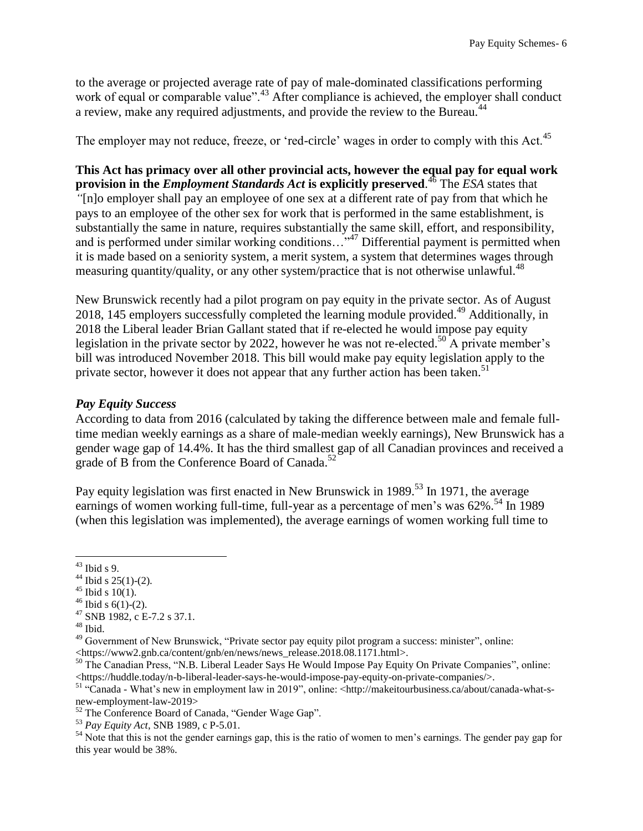to the average or projected average rate of pay of male-dominated classifications performing work of equal or comparable value".<sup>43</sup> After compliance is achieved, the employer shall conduct a review, make any required adjustments, and provide the review to the Bureau.<sup>44</sup>

The employer may not reduce, freeze, or 'red-circle' wages in order to comply with this Act.<sup>45</sup>

**This Act has primacy over all other provincial acts, however the equal pay for equal work provision in the** *Employment Standards Act* **is explicitly preserved**. <sup>46</sup> The *ESA* states that *"*[n]o employer shall pay an employee of one sex at a different rate of pay from that which he pays to an employee of the other sex for work that is performed in the same establishment, is substantially the same in nature, requires substantially the same skill, effort, and responsibility, and is performed under similar working conditions..."<sup>47</sup> Differential payment is permitted when it is made based on a seniority system, a merit system, a system that determines wages through measuring quantity/quality, or any other system/practice that is not otherwise unlawful.<sup>48</sup>

New Brunswick recently had a pilot program on pay equity in the private sector. As of August 2018, 145 employers successfully completed the learning module provided.<sup>49</sup> Additionally, in 2018 the Liberal leader Brian Gallant stated that if re-elected he would impose pay equity legislation in the private sector by 2022, however he was not re-elected.<sup>50</sup> A private member's bill was introduced November 2018. This bill would make pay equity legislation apply to the private sector, however it does not appear that any further action has been taken.<sup>51</sup>

#### <span id="page-6-0"></span>*Pay Equity Success*

According to data from 2016 (calculated by taking the difference between male and female fulltime median weekly earnings as a share of male-median weekly earnings), New Brunswick has a gender wage gap of 14.4%. It has the third smallest gap of all Canadian provinces and received a grade of B from the Conference Board of Canada.<sup>52</sup>

Pay equity legislation was first enacted in New Brunswick in 1989.<sup>53</sup> In 1971, the average earnings of women working full-time, full-year as a percentage of men's was  $62\%$ .<sup>54</sup> In 1989 (when this legislation was implemented), the average earnings of women working full time to

 $\overline{a}$  $43$  Ibid s 9.

 $44$  Ibid s 25(1)-(2).

 $45$  Ibid s 10(1).

 $46$  Ibid s 6(1)-(2).

<sup>47</sup> SNB 1982, c E-7.2 s 37.1.

 $48$  Ibid.

<sup>&</sup>lt;sup>49</sup> Government of New Brunswick, "Private sector pay equity pilot program a success: minister", online: <https://www2.gnb.ca/content/gnb/en/news/news\_release.2018.08.1171.html>.

<sup>&</sup>lt;sup>50</sup> The Canadian Press, "N.B. Liberal Leader Says He Would Impose Pay Equity On Private Companies", online: <https://huddle.today/n-b-liberal-leader-says-he-would-impose-pay-equity-on-private-companies/>.

<sup>51</sup> "Canada - What's new in employment law in 2019", online: <http://makeitourbusiness.ca/about/canada-what-snew-employment-law-2019>

<sup>52</sup> The Conference Board of Canada, "Gender Wage Gap".

<sup>53</sup> *Pay Equity Act*, SNB 1989, c P-5.01.

<sup>&</sup>lt;sup>54</sup> Note that this is not the gender earnings gap, this is the ratio of women to men's earnings. The gender pay gap for this year would be 38%.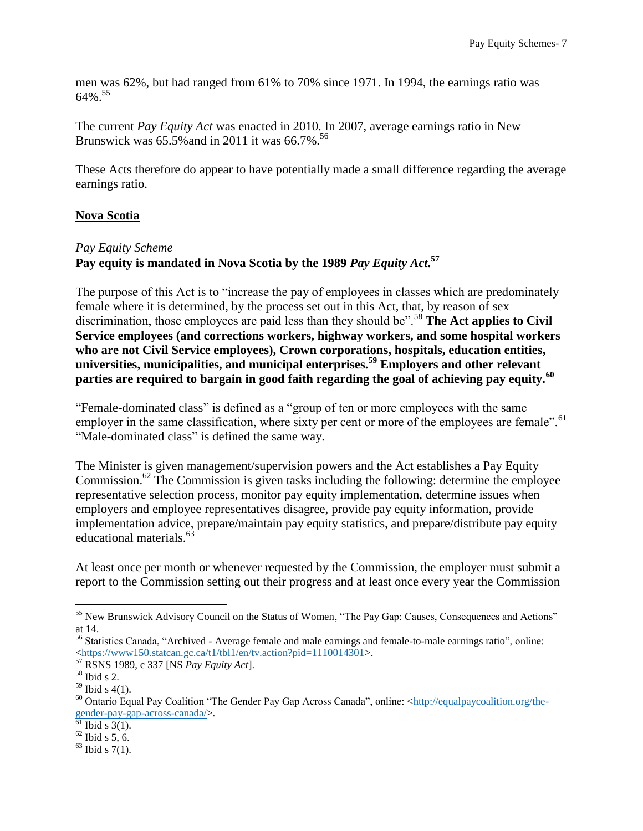men was 62%, but had ranged from 61% to 70% since 1971. In 1994, the earnings ratio was  $64\%$ <sup>55</sup>

The current *Pay Equity Act* was enacted in 2010. In 2007, average earnings ratio in New Brunswick was 65.5% and in 2011 it was 66.7%.<sup>56</sup>

These Acts therefore do appear to have potentially made a small difference regarding the average earnings ratio.

#### <span id="page-7-0"></span>**Nova Scotia**

#### <span id="page-7-1"></span>*Pay Equity Scheme*

## **Pay equity is mandated in Nova Scotia by the 1989** *Pay Equity Act***. 57**

The purpose of this Act is to "increase the pay of employees in classes which are predominately female where it is determined, by the process set out in this Act, that, by reason of sex discrimination, those employees are paid less than they should be".<sup>58</sup> The Act applies to Civil **Service employees (and corrections workers, highway workers, and some hospital workers who are not Civil Service employees), Crown corporations, hospitals, education entities, universities, municipalities, and municipal enterprises.<sup>59</sup> Employers and other relevant parties are required to bargain in good faith regarding the goal of achieving pay equity.<sup>60</sup>**

"Female-dominated class" is defined as a "group of ten or more employees with the same employer in the same classification, where sixty per cent or more of the employees are female".<sup>61</sup> "Male-dominated class" is defined the same way.

The Minister is given management/supervision powers and the Act establishes a Pay Equity Commission.<sup>62</sup> The Commission is given tasks including the following: determine the employee representative selection process, monitor pay equity implementation, determine issues when employers and employee representatives disagree, provide pay equity information, provide implementation advice, prepare/maintain pay equity statistics, and prepare/distribute pay equity educational materials.<sup>63</sup>

At least once per month or whenever requested by the Commission, the employer must submit a report to the Commission setting out their progress and at least once every year the Commission

<sup>55</sup> New Brunswick Advisory Council on the Status of Women, "The Pay Gap: Causes, Consequences and Actions" at 14.

<sup>56</sup> Statistics Canada, "Archived - Average female and male earnings and female-to-male earnings ratio", online: [<https://www150.statcan.gc.ca/t1/tbl1/en/tv.action?pid=1110014301>](https://www150.statcan.gc.ca/t1/tbl1/en/tv.action?pid=1110014301).

<sup>57</sup> RSNS 1989, c 337 [NS *Pay Equity Act*].

<sup>58</sup> Ibid s 2.

 $59$  Ibid s 4(1).

<sup>&</sup>lt;sup>60</sup> Ontario Equal Pay Coalition "The Gender Pay Gap Across Canada", online: [<http://equalpaycoalition.org/the](http://equalpaycoalition.org/the-gender-pay-gap-across-canada/)[gender-pay-gap-across-canada/>](http://equalpaycoalition.org/the-gender-pay-gap-across-canada/).

 $\overline{6}$ <sup>1</sup> Ibid s 3(1).

 $62$  Ibid s 5, 6.

 $63$  Ibid s 7(1).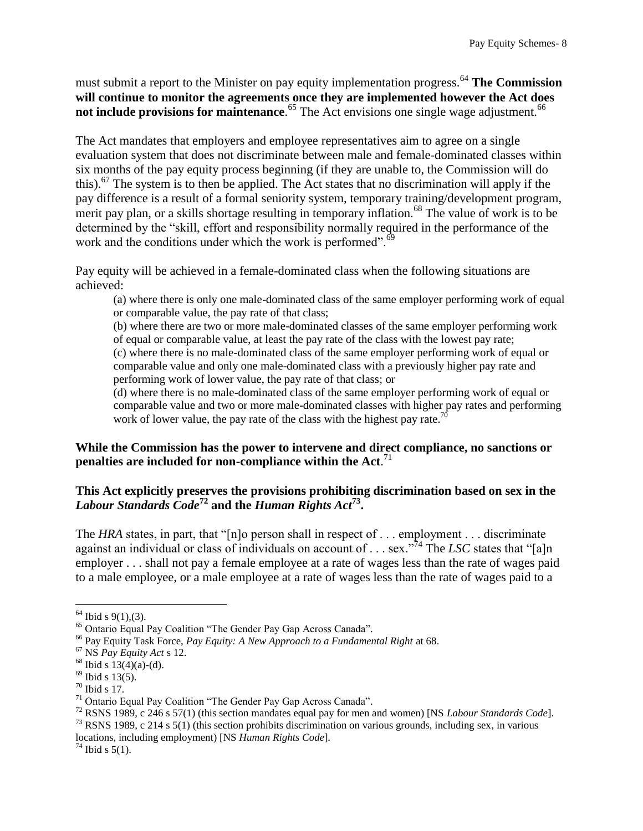must submit a report to the Minister on pay equity implementation progress.<sup>64</sup> The Commission **will continue to monitor the agreements once they are implemented however the Act does not include provisions for maintenance**.<sup>65</sup> The Act envisions one single wage adjustment.<sup>66</sup>

The Act mandates that employers and employee representatives aim to agree on a single evaluation system that does not discriminate between male and female-dominated classes within six months of the pay equity process beginning (if they are unable to, the Commission will do this).<sup>67</sup> The system is to then be applied. The Act states that no discrimination will apply if the pay difference is a result of a formal seniority system, temporary training/development program, merit pay plan, or a skills shortage resulting in temporary inflation.<sup>68</sup> The value of work is to be determined by the "skill, effort and responsibility normally required in the performance of the work and the conditions under which the work is performed".<sup>69</sup>

Pay equity will be achieved in a female-dominated class when the following situations are achieved:

(a) where there is only one male-dominated class of the same employer performing work of equal or comparable value, the pay rate of that class;

(b) where there are two or more male-dominated classes of the same employer performing work of equal or comparable value, at least the pay rate of the class with the lowest pay rate; (c) where there is no male-dominated class of the same employer performing work of equal or

comparable value and only one male-dominated class with a previously higher pay rate and performing work of lower value, the pay rate of that class; or

(d) where there is no male-dominated class of the same employer performing work of equal or comparable value and two or more male-dominated classes with higher pay rates and performing work of lower value, the pay rate of the class with the highest pay rate.<sup>70</sup>

#### **While the Commission has the power to intervene and direct compliance, no sanctions or penalties are included for non-compliance within the Act**. 71

#### **This Act explicitly preserves the provisions prohibiting discrimination based on sex in the**  *Labour Standards Code***<sup>72</sup> and the** *Human Rights Act***<sup>73</sup> .**

The *HRA* states, in part, that "[n]o person shall in respect of . . . employment . . . discriminate against an individual or class of individuals on account of . . . sex."<sup>74</sup> The *LSC* states that "[a]n employer . . . shall not pay a female employee at a rate of wages less than the rate of wages paid to a male employee, or a male employee at a rate of wages less than the rate of wages paid to a

 $\overline{a}$ 

<sup>73</sup> RSNS 1989, c 214 s 5(1) (this section prohibits discrimination on various grounds, including sex, in various

locations, including employment) [NS *Human Rights Code*].

 $64$  Ibid s 9(1), (3).

<sup>65</sup> Ontario Equal Pay Coalition "The Gender Pay Gap Across Canada".

<sup>66</sup> Pay Equity Task Force, *Pay Equity: A New Approach to a Fundamental Right* at 68.

<sup>67</sup> NS *Pay Equity Act* s 12.

 $68$  Ibid s  $13(4)(a)-(d)$ .

 $69$  Ibid s 13(5).

 $70$  Ibid s 17.

 $71$  Ontario Equal Pay Coalition "The Gender Pay Gap Across Canada".

<sup>72</sup> RSNS 1989, c 246 s 57(1) (this section mandates equal pay for men and women) [NS *Labour Standards Code*].

 $74$  Ibid s 5(1).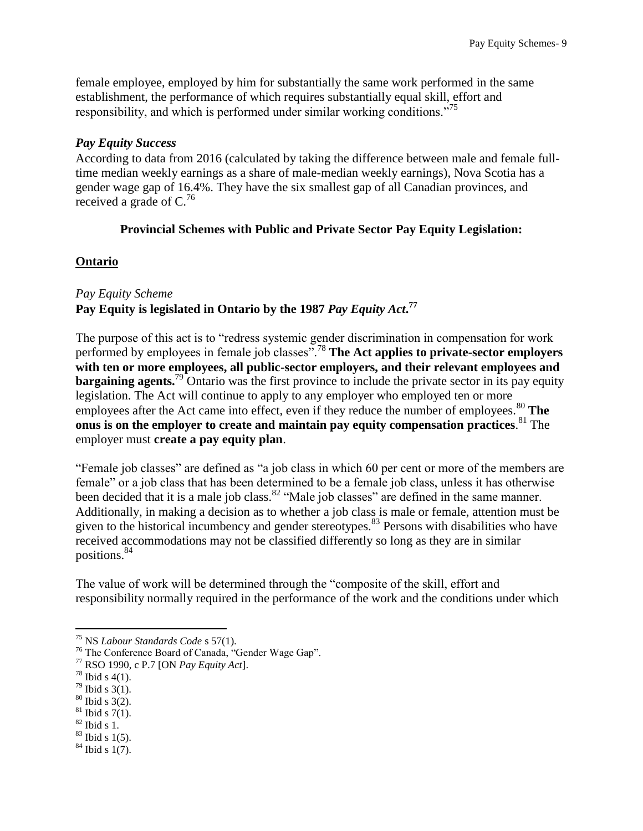female employee, employed by him for substantially the same work performed in the same establishment, the performance of which requires substantially equal skill, effort and responsibility, and which is performed under similar working conditions."<sup>75</sup>

#### <span id="page-9-0"></span>*Pay Equity Success*

According to data from 2016 (calculated by taking the difference between male and female fulltime median weekly earnings as a share of male-median weekly earnings), Nova Scotia has a gender wage gap of 16.4%. They have the six smallest gap of all Canadian provinces, and received a grade of  $C<sup>76</sup>$ 

#### **Provincial Schemes with Public and Private Sector Pay Equity Legislation:**

#### <span id="page-9-2"></span><span id="page-9-1"></span>**Ontario**

## <span id="page-9-3"></span>*Pay Equity Scheme* **Pay Equity is legislated in Ontario by the 1987** *Pay Equity Act***. 77**

The purpose of this act is to "redress systemic gender discrimination in compensation for work performed by employees in female job classes".<sup>78</sup> **The Act applies to private-sector employers with ten or more employees, all public-sector employers, and their relevant employees and bargaining agents.**<sup>79</sup> Ontario was the first province to include the private sector in its pay equity legislation. The Act will continue to apply to any employer who employed ten or more employees after the Act came into effect, even if they reduce the number of employees.<sup>80</sup> The **onus is on the employer to create and maintain pay equity compensation practices**. <sup>81</sup> The employer must **create a pay equity plan**.

"Female job classes" are defined as "a job class in which 60 per cent or more of the members are female" or a job class that has been determined to be a female job class, unless it has otherwise been decided that it is a male job class.<sup>82</sup> "Male job classes" are defined in the same manner. Additionally, in making a decision as to whether a job class is male or female, attention must be given to the historical incumbency and gender stereotypes.<sup>83</sup> Persons with disabilities who have received accommodations may not be classified differently so long as they are in similar positions.<sup>84</sup>

The value of work will be determined through the "composite of the skill, effort and responsibility normally required in the performance of the work and the conditions under which

- $79$  Ibid s 3(1).
- <sup>80</sup> Ibid s 3(2).
- $81$  Ibid s 7(1).
- $82$  Ibid s 1.
- $83$  Ibid s 1(5).
- $84$  Ibid s 1(7).

<sup>75</sup> NS *Labour Standards Code* s 57(1).

<sup>76</sup> The Conference Board of Canada, "Gender Wage Gap".

<sup>77</sup> RSO 1990, c P.7 [ON *Pay Equity Act*].

 $^{78}$  Ibid s 4(1).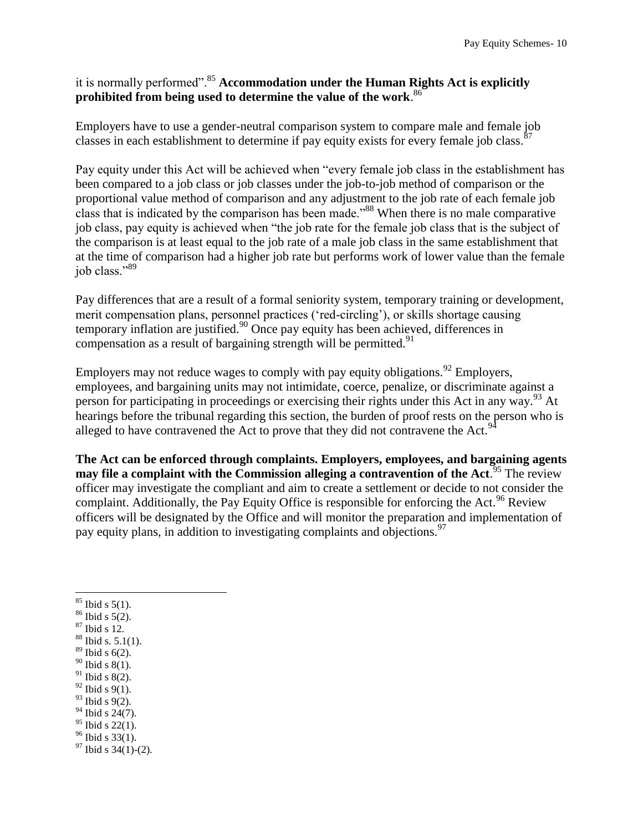# it is normally performed".<sup>85</sup> **Accommodation under the Human Rights Act is explicitly prohibited from being used to determine the value of the work**. 86

Employers have to use a gender-neutral comparison system to compare male and female job classes in each establishment to determine if pay equity exists for every female job class.  $87$ 

Pay equity under this Act will be achieved when "every female job class in the establishment has been compared to a job class or job classes under the job-to-job method of comparison or the proportional value method of comparison and any adjustment to the job rate of each female job class that is indicated by the comparison has been made.<sup>388</sup> When there is no male comparative job class, pay equity is achieved when "the job rate for the female job class that is the subject of the comparison is at least equal to the job rate of a male job class in the same establishment that at the time of comparison had a higher job rate but performs work of lower value than the female job class."<sup>89</sup>

Pay differences that are a result of a formal seniority system, temporary training or development, merit compensation plans, personnel practices ('red-circling'), or skills shortage causing temporary inflation are justified.<sup>90</sup> Once pay equity has been achieved, differences in compensation as a result of bargaining strength will be permitted. $91$ 

Employers may not reduce wages to comply with pay equity obligations.<sup>92</sup> Employers, employees, and bargaining units may not intimidate, coerce, penalize, or discriminate against a person for participating in proceedings or exercising their rights under this Act in any way.<sup>93</sup> At hearings before the tribunal regarding this section, the burden of proof rests on the person who is alleged to have contravened the Act to prove that they did not contravene the Act.  $94$ 

**The Act can be enforced through complaints. Employers, employees, and bargaining agents** may file a complaint with the Commission alleging a contravention of the Act.<sup>95</sup> The review officer may investigate the compliant and aim to create a settlement or decide to not consider the complaint. Additionally, the Pay Equity Office is responsible for enforcing the Act.<sup>96</sup> Review officers will be designated by the Office and will monitor the preparation and implementation of pay equity plans, in addition to investigating complaints and objections.<sup>97</sup>

- $\overline{a}$  $85$  Ibid s 5(1).
- <sup>86</sup> Ibid s 5(2).
- <sup>87</sup> Ibid s 12.
- $88$  Ibid s. 5.1(1).
- $89$  Ibid s 6(2).  $90$  Ibid s  $8(1)$ .
- $91$  Ibid s 8(2).
- $92$  Ibid s 9(1).
- $93$  Ibid s 9(2).
- $94$  Ibid s 24(7).
- $95$  Ibid s 22(1).
- $96$  Ibid s  $33(1)$ .
- $97$  Ibid s 34(1)-(2).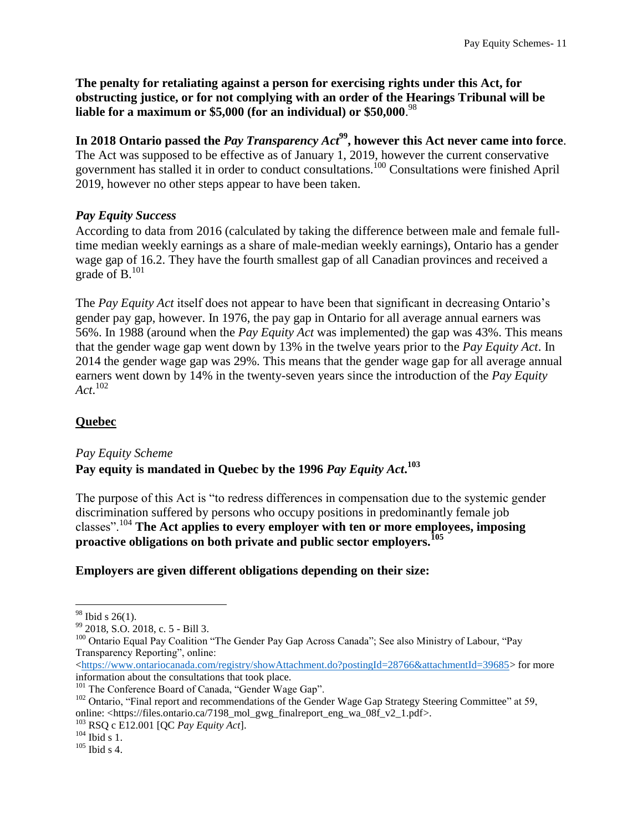**The penalty for retaliating against a person for exercising rights under this Act, for obstructing justice, or for not complying with an order of the Hearings Tribunal will be liable for a maximum or \$5,000 (for an individual) or \$50,000**. 98

**In 2018 Ontario passed the** *Pay Transparency Act***<sup>99</sup>, however this Act never came into force**. The Act was supposed to be effective as of January 1, 2019, however the current conservative government has stalled it in order to conduct consultations.<sup>100</sup> Consultations were finished April 2019, however no other steps appear to have been taken.

#### <span id="page-11-0"></span>*Pay Equity Success*

According to data from 2016 (calculated by taking the difference between male and female fulltime median weekly earnings as a share of male-median weekly earnings), Ontario has a gender wage gap of 16.2. They have the fourth smallest gap of all Canadian provinces and received a grade of  $B<sub>101</sub>$ 

The *Pay Equity Act* itself does not appear to have been that significant in decreasing Ontario's gender pay gap, however. In 1976, the pay gap in Ontario for all average annual earners was 56%. In 1988 (around when the *Pay Equity Act* was implemented) the gap was 43%. This means that the gender wage gap went down by 13% in the twelve years prior to the *Pay Equity Act*. In 2014 the gender wage gap was 29%. This means that the gender wage gap for all average annual earners went down by 14% in the twenty-seven years since the introduction of the *Pay Equity Act*. 102

## <span id="page-11-1"></span>**Quebec**

#### <span id="page-11-2"></span>*Pay Equity Scheme* **Pay equity is mandated in Quebec by the 1996** *Pay Equity Act***. 103**

The purpose of this Act is "to redress differences in compensation due to the systemic gender discrimination suffered by persons who occupy positions in predominantly female job classes".<sup>104</sup> **The Act applies to every employer with ten or more employees, imposing proactive obligations on both private and public sector employers.<sup>105</sup>**

## **Employers are given different obligations depending on their size:**

 $\overline{a}$ 

[<https://www.ontariocanada.com/registry/showAttachment.do?postingId=28766&attachmentId=39685>](https://www.ontariocanada.com/registry/showAttachment.do?postingId=28766&attachmentId=39685) for more information about the consultations that took place.

<sup>101</sup> The Conference Board of Canada, "Gender Wage Gap".

 $98$  Ibid s 26(1).

<sup>99</sup> 2018, S.O. 2018, c. 5 - Bill 3.

<sup>&</sup>lt;sup>100</sup> Ontario Equal Pay Coalition "The Gender Pay Gap Across Canada"; See also Ministry of Labour, "Pay Transparency Reporting", online:

<sup>&</sup>lt;sup>102</sup> Ontario, "Final report and recommendations of the Gender Wage Gap Strategy Steering Committee" at 59, online: <https://files.ontario.ca/7198\_mol\_gwg\_finalreport\_eng\_wa\_08f\_v2\_1.pdf>.

<sup>103</sup> RSQ c E12.001 [QC *Pay Equity Act*].

 $104$  Ibid s 1.

 $105$  Ibid s 4.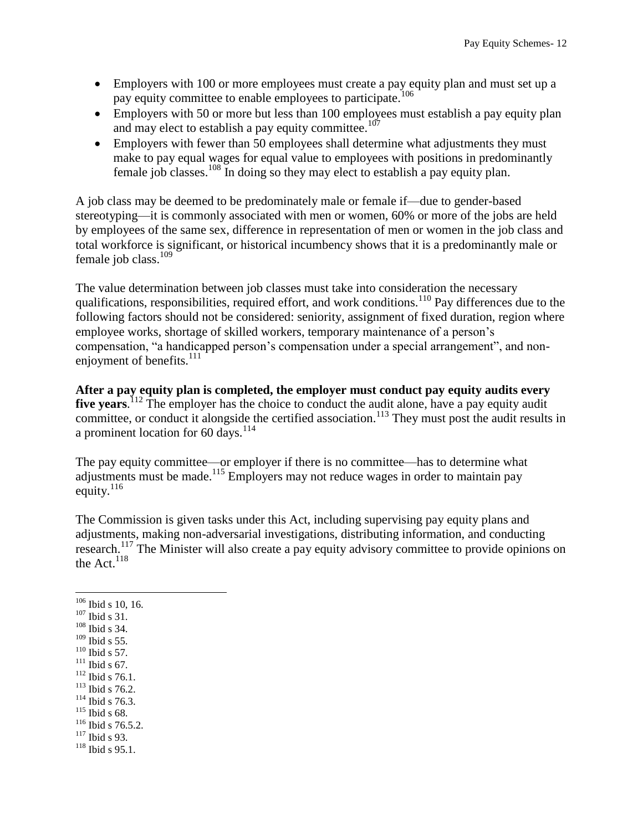- Employers with 100 or more employees must create a pay equity plan and must set up a pay equity committee to enable employees to participate.<sup>106</sup>
- Employers with 50 or more but less than 100 employees must establish a pay equity plan and may elect to establish a pay equity committee.<sup>107</sup>
- Employers with fewer than 50 employees shall determine what adjustments they must make to pay equal wages for equal value to employees with positions in predominantly female job classes.<sup>108</sup> In doing so they may elect to establish a pay equity plan.

A job class may be deemed to be predominately male or female if—due to gender-based stereotyping—it is commonly associated with men or women, 60% or more of the jobs are held by employees of the same sex, difference in representation of men or women in the job class and total workforce is significant, or historical incumbency shows that it is a predominantly male or female job class.<sup>109</sup>

The value determination between job classes must take into consideration the necessary qualifications, responsibilities, required effort, and work conditions.<sup>110</sup> Pay differences due to the following factors should not be considered: seniority, assignment of fixed duration, region where employee works, shortage of skilled workers, temporary maintenance of a person's compensation, "a handicapped person's compensation under a special arrangement", and nonenjoyment of benefits. $^{111}$ 

**After a pay equity plan is completed, the employer must conduct pay equity audits every**  five years.<sup>112</sup> The employer has the choice to conduct the audit alone, have a pay equity audit committee, or conduct it alongside the certified association.<sup>113</sup> They must post the audit results in a prominent location for 60 days.<sup>114</sup>

The pay equity committee—or employer if there is no committee—has to determine what adjustments must be made.<sup>115</sup> Employers may not reduce wages in order to maintain pay equity. $^{116}$ 

The Commission is given tasks under this Act, including supervising pay equity plans and adjustments, making non-adversarial investigations, distributing information, and conducting research.<sup>117</sup> The Minister will also create a pay equity advisory committee to provide opinions on the Act. $118$ 

- <sup>108</sup> Ibid s 34. <sup>109</sup> Ibid s 55.
- $110$  Ibid s 57.
- $111$  Ibid s 67.
- <sup>112</sup> Ibid s 76.1.
- <sup>113</sup> Ibid s 76.2.
- $114$  Ibid s 76.3.
- <sup>115</sup> Ibid s 68.
- <sup>116</sup> Ibid s 76.5.2.
- $117$  Ibid s 93.
- <sup>118</sup> Ibid s 95.1.

 $106$  Ibid s 10, 16.

 $107$  Ibid s 31.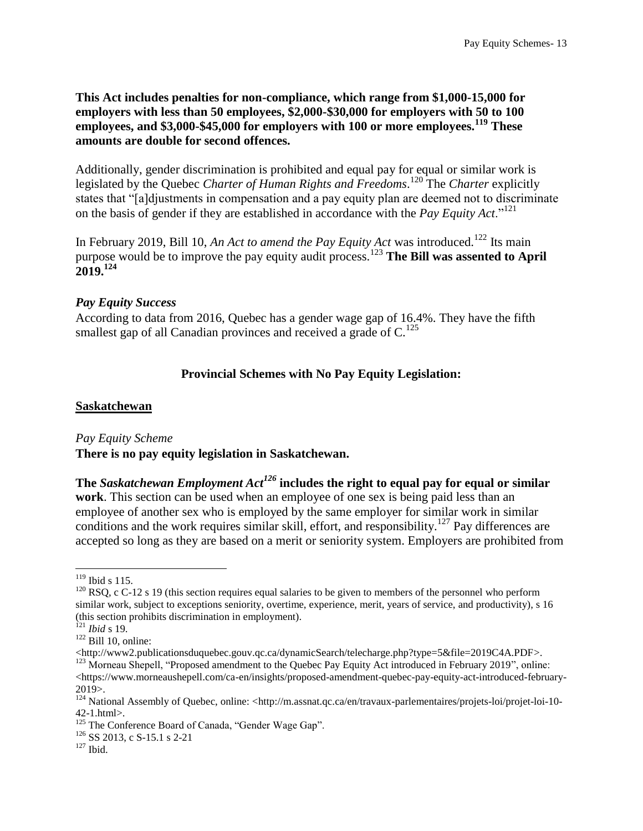**This Act includes penalties for non-compliance, which range from \$1,000-15,000 for employers with less than 50 employees, \$2,000-\$30,000 for employers with 50 to 100 employees, and \$3,000-\$45,000 for employers with 100 or more employees.<sup>119</sup> These amounts are double for second offences.**

Additionally, gender discrimination is prohibited and equal pay for equal or similar work is legislated by the Quebec *Charter of Human Rights and Freedoms*. <sup>120</sup> The *Charter* explicitly states that "[a]djustments in compensation and a pay equity plan are deemed not to discriminate on the basis of gender if they are established in accordance with the *Pay Equity Act*."<sup>121</sup>

In February 2019, Bill 10, An Act to amend the Pay Equity Act was introduced.<sup>122</sup> Its main purpose would be to improve the pay equity audit process.<sup>123</sup> **The Bill was assented to April 2019.<sup>124</sup>**

#### <span id="page-13-0"></span>*Pay Equity Success*

<span id="page-13-1"></span>According to data from 2016, Quebec has a gender wage gap of 16.4%. They have the fifth smallest gap of all Canadian provinces and received a grade of  $C<sup>125</sup>$ 

## **Provincial Schemes with No Pay Equity Legislation:**

#### <span id="page-13-2"></span>**Saskatchewan**

#### <span id="page-13-3"></span>*Pay Equity Scheme*

#### **There is no pay equity legislation in Saskatchewan.**

**The** *Saskatchewan Employment Act<sup>126</sup>* **includes the right to equal pay for equal or similar work**. This section can be used when an employee of one sex is being paid less than an employee of another sex who is employed by the same employer for similar work in similar conditions and the work requires similar skill, effort, and responsibility.<sup>127</sup> Pay differences are accepted so long as they are based on a merit or seniority system. Employers are prohibited from

 $119$  Ibid s 115.

 $120$  RSQ, c C-12 s 19 (this section requires equal salaries to be given to members of the personnel who perform similar work, subject to exceptions seniority, overtime, experience, merit, years of service, and productivity), s 16 (this section prohibits discrimination in employment).

<sup>121</sup> *Ibid* s 19.

 $122$  Bill 10, online:

<sup>&</sup>lt;http://www2.publicationsduquebec.gouv.qc.ca/dynamicSearch/telecharge.php?type=5&file=2019C4A.PDF>. <sup>123</sup> Morneau Shepell, "Proposed amendment to the Quebec Pay Equity Act introduced in February 2019", online:  $\langle$ https://www.morneaushepell.com/ca-en/insights/proposed-amendment-quebec-pay-equity-act-introduced-february-2019>.

<sup>&</sup>lt;sup>124</sup> National Assembly of Ouebec, online: <http://m.assnat.qc.ca/en/travaux-parlementaires/projets-loi/projet-loi-10-42-1.html>.

<sup>&</sup>lt;sup>125</sup> The Conference Board of Canada, "Gender Wage Gap".

<sup>126</sup> SS 2013, c S-15.1 s 2-21

 $^{127}$  Ibid.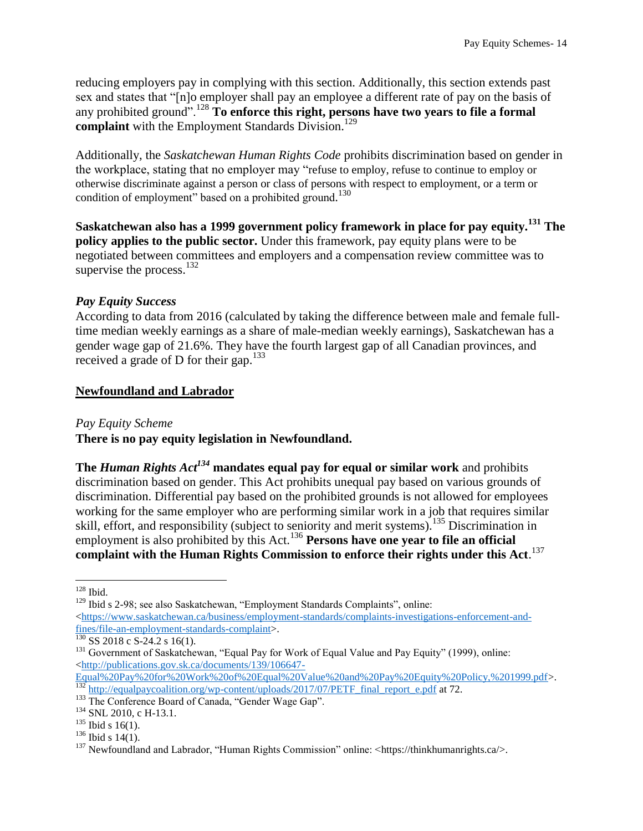reducing employers pay in complying with this section. Additionally, this section extends past sex and states that "[n]o employer shall pay an employee a different rate of pay on the basis of any prohibited ground".<sup>128</sup> **To enforce this right, persons have two years to file a formal**  complaint with the Employment Standards Division.<sup>129</sup>

Additionally, the *Saskatchewan Human Rights Code* prohibits discrimination based on gender in the workplace, stating that no employer may "refuse to employ, refuse to continue to employ or otherwise discriminate against a person or class of persons with respect to employment, or a term or condition of employment" based on a prohibited ground.<sup>130</sup>

**Saskatchewan also has a 1999 government policy framework in place for pay equity.<sup>131</sup> The policy applies to the public sector.** Under this framework, pay equity plans were to be negotiated between committees and employers and a compensation review committee was to supervise the process.<sup>132</sup>

#### <span id="page-14-0"></span>*Pay Equity Success*

According to data from 2016 (calculated by taking the difference between male and female fulltime median weekly earnings as a share of male-median weekly earnings), Saskatchewan has a gender wage gap of 21.6%. They have the fourth largest gap of all Canadian provinces, and received a grade of D for their gap.<sup>133</sup>

#### <span id="page-14-1"></span>**Newfoundland and Labrador**

<span id="page-14-2"></span>*Pay Equity Scheme*

**There is no pay equity legislation in Newfoundland.** 

**The** *Human Rights Act<sup>134</sup>* **mandates equal pay for equal or similar work** and prohibits discrimination based on gender. This Act prohibits unequal pay based on various grounds of discrimination. Differential pay based on the prohibited grounds is not allowed for employees working for the same employer who are performing similar work in a job that requires similar skill, effort, and responsibility (subject to seniority and merit systems).<sup>135</sup> Discrimination in employment is also prohibited by this Act.<sup>136</sup> **Persons have one year to file an official complaint with the Human Rights Commission to enforce their rights under this Act**. 137

 $\overline{a}$  $128$  Ibid.

<sup>&</sup>lt;sup>129</sup> Ibid s 2-98; see also Saskatchewan, "Employment Standards Complaints", online:  $\langle$ https://www.saskatchewan.ca/business/employment-standards/complaints-investigations-enforcement-and[fines/file-an-employment-standards-complaint>](https://www.saskatchewan.ca/business/employment-standards/complaints-investigations-enforcement-and-fines/file-an-employment-standards-complaint).

 $\frac{130}{130}$  SS 2018 c S-24.2 s 16(1).

<sup>&</sup>lt;sup>131</sup> Government of Saskatchewan, "Equal Pay for Work of Equal Value and Pay Equity" (1999), online: [<http://publications.gov.sk.ca/documents/139/106647-](http://publications.gov.sk.ca/documents/139/106647-Equal%20Pay%20for%20Work%20of%20Equal%20Value%20and%20Pay%20Equity%20Policy,%201999.pdf)

[Equal%20Pay%20for%20Work%20of%20Equal%20Value%20and%20Pay%20Equity%20Policy,%201999.pdf>](http://publications.gov.sk.ca/documents/139/106647-Equal%20Pay%20for%20Work%20of%20Equal%20Value%20and%20Pay%20Equity%20Policy,%201999.pdf). <sup>132</sup> [http://equalpaycoalition.org/wp-content/uploads/2017/07/PETF\\_final\\_report\\_e.pdf](http://equalpaycoalition.org/wp-content/uploads/2017/07/PETF_final_report_e.pdf) at 72.

<sup>133</sup> The Conference Board of Canada, "Gender Wage Gap".

<sup>&</sup>lt;sup>134</sup> SNL 2010, c H-13.1.

 $135$  Ibid s 16(1).

 $136$  Ibid s 14(1).

<sup>&</sup>lt;sup>137</sup> Newfoundland and Labrador, "Human Rights Commission" online:  $\langle$ https://thinkhumanrights.ca/>.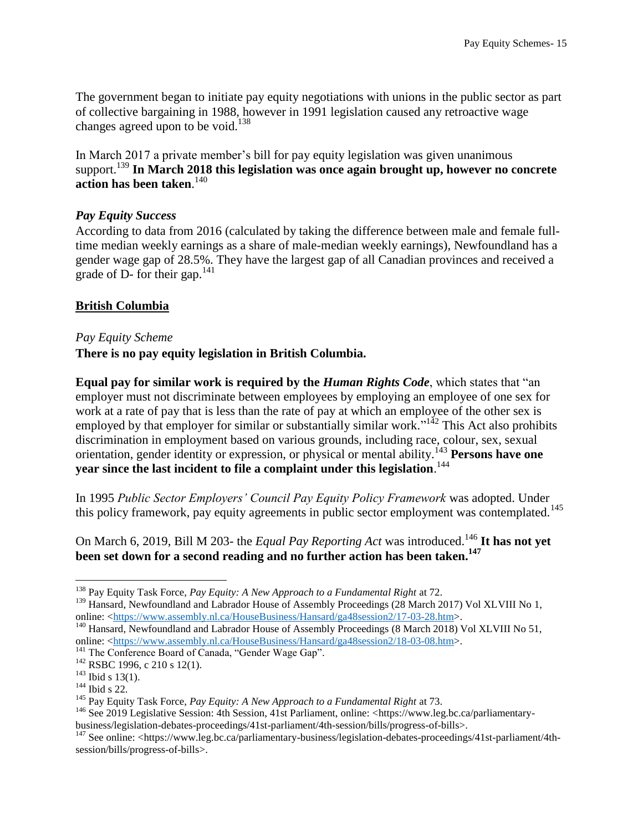The government began to initiate pay equity negotiations with unions in the public sector as part of collective bargaining in 1988, however in 1991 legislation caused any retroactive wage changes agreed upon to be void.<sup>138</sup>

In March 2017 a private member's bill for pay equity legislation was given unanimous support.<sup>139</sup> In March 2018 this legislation was once again brought up, however no concrete **action has been taken**. 140

#### <span id="page-15-0"></span>*Pay Equity Success*

According to data from 2016 (calculated by taking the difference between male and female fulltime median weekly earnings as a share of male-median weekly earnings), Newfoundland has a gender wage gap of 28.5%. They have the largest gap of all Canadian provinces and received a grade of  $D$ - for their gap.<sup>141</sup>

#### <span id="page-15-1"></span>**British Columbia**

#### <span id="page-15-2"></span>*Pay Equity Scheme*

#### **There is no pay equity legislation in British Columbia.**

**Equal pay for similar work is required by the** *Human Rights Code*, which states that "an employer must not discriminate between employees by employing an employee of one sex for work at a rate of pay that is less than the rate of pay at which an employee of the other sex is employed by that employer for similar or substantially similar work.<sup> $142$ </sup> This Act also prohibits discrimination in employment based on various grounds, including race, colour, sex, sexual orientation, gender identity or expression, or physical or mental ability.<sup>143</sup> **Persons have one year since the last incident to file a complaint under this legislation**. 144

In 1995 *Public Sector Employers' Council Pay Equity Policy Framework* was adopted. Under this policy framework, pay equity agreements in public sector employment was contemplated.<sup>145</sup>

On March 6, 2019, Bill M 203- the *Equal Pay Reporting Act* was introduced.<sup>146</sup> It has not yet **been set down for a second reading and no further action has been taken.<sup>147</sup>**

<sup>138</sup> Pay Equity Task Force, *Pay Equity: A New Approach to a Fundamental Right* at 72.

<sup>&</sup>lt;sup>139</sup> Hansard, Newfoundland and Labrador House of Assembly Proceedings (28 March 2017) Vol XLVIII No 1, online: [<https://www.assembly.nl.ca/HouseBusiness/Hansard/ga48session2/17-03-28.htm>](https://www.assembly.nl.ca/HouseBusiness/Hansard/ga48session2/17-03-28.htm).

<sup>&</sup>lt;sup>140</sup> Hansard, Newfoundland and Labrador House of Assembly Proceedings (8 March 2018) Vol XLVIII No 51, online: [<https://www.assembly.nl.ca/HouseBusiness/Hansard/ga48session2/18-03-08.htm>](https://www.assembly.nl.ca/HouseBusiness/Hansard/ga48session2/18-03-08.htm).

<sup>&</sup>lt;sup>141</sup> The Conference Board of Canada, "Gender Wage Gap".

<sup>142</sup> RSBC 1996, c 210 s 12(1).

 $143$  Ibid s 13(1).

<sup>&</sup>lt;sup>144</sup> Ibid s 22.

<sup>145</sup> Pay Equity Task Force, *Pay Equity: A New Approach to a Fundamental Right* at 73.

<sup>&</sup>lt;sup>146</sup> See 2019 Legislative Session: 4th Session, 41st Parliament, online: <https://www.leg.bc.ca/parliamentarybusiness/legislation-debates-proceedings/41st-parliament/4th-session/bills/progress-of-bills>.

<sup>&</sup>lt;sup>147</sup> See online: <https://www.leg.bc.ca/parliamentary-business/legislation-debates-proceedings/41st-parliament/4thsession/bills/progress-of-bills>.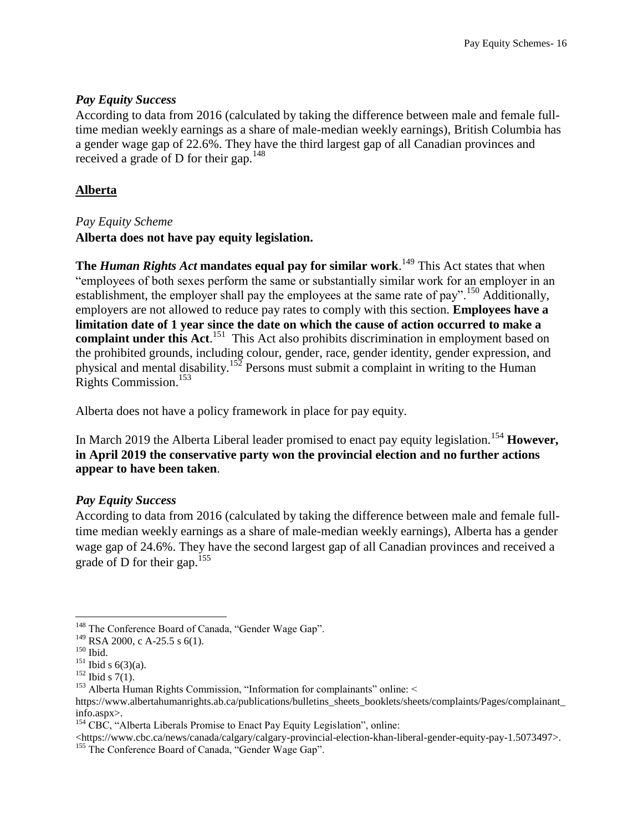#### <span id="page-16-0"></span>*Pay Equity Success*

According to data from 2016 (calculated by taking the difference between male and female fulltime median weekly earnings as a share of male-median weekly earnings), British Columbia has a gender wage gap of 22.6%. They have the third largest gap of all Canadian provinces and received a grade of D for their gap.<sup>148</sup>

## <span id="page-16-1"></span>**Alberta**

## <span id="page-16-2"></span>*Pay Equity Scheme*

**Alberta does not have pay equity legislation.**

**The** *Human Rights Act* **mandates equal pay for similar work**. <sup>149</sup> This Act states that when "employees of both sexes perform the same or substantially similar work for an employer in an establishment, the employer shall pay the employees at the same rate of pay".<sup>150</sup> Additionally, employers are not allowed to reduce pay rates to comply with this section. **Employees have a limitation date of 1 year since the date on which the cause of action occurred to make a**  complaint under this Act.<sup>151</sup> This Act also prohibits discrimination in employment based on the prohibited grounds, including colour, gender, race, gender identity, gender expression, and physical and mental disability.<sup>152</sup> Persons must submit a complaint in writing to the Human Rights Commission.<sup>153</sup>

Alberta does not have a policy framework in place for pay equity.

In March 2019 the Alberta Liberal leader promised to enact pay equity legislation.<sup>154</sup> **However, in April 2019 the conservative party won the provincial election and no further actions appear to have been taken**.

#### <span id="page-16-3"></span>*Pay Equity Success*

According to data from 2016 (calculated by taking the difference between male and female fulltime median weekly earnings as a share of male-median weekly earnings), Alberta has a gender wage gap of 24.6%. They have the second largest gap of all Canadian provinces and received a grade of D for their gap.<sup>155</sup>

 $\langle$ https://www.cbc.ca/news/canada/calgary/calgary-provincial-election-khan-liberal-gender-equity-pay-1.5073497>.

 $\overline{a}$ <sup>148</sup> The Conference Board of Canada, "Gender Wage Gap".

<sup>149</sup> RSA 2000, c A-25.5 s 6(1).

<sup>150</sup> Ibid.

 $151$  Ibid s 6(3)(a).

 $152$  Ibid s 7(1).

<sup>&</sup>lt;sup>153</sup> Alberta Human Rights Commission, "Information for complainants" online: <

https://www.albertahumanrights.ab.ca/publications/bulletins\_sheets\_booklets/sheets/complaints/Pages/complainant info.aspx>.

 $154$  CBC, "Alberta Liberals Promise to Enact Pay Equity Legislation", online:

<sup>&</sup>lt;sup>155</sup> The Conference Board of Canada, "Gender Wage Gap".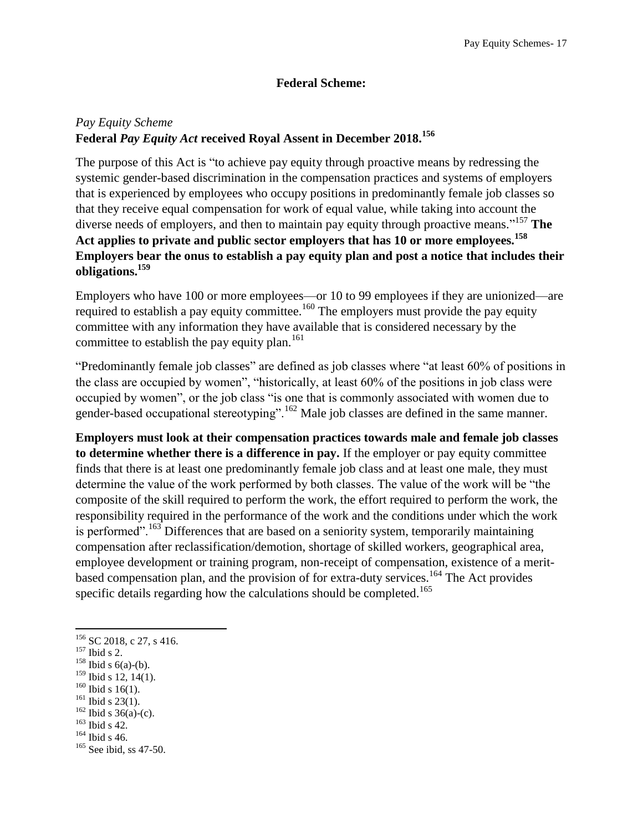## **Federal Scheme:**

## <span id="page-17-1"></span><span id="page-17-0"></span>*Pay Equity Scheme* **Federal** *Pay Equity Act* **received Royal Assent in December 2018.<sup>156</sup>**

The purpose of this Act is "to achieve pay equity through proactive means by redressing the systemic gender-based discrimination in the compensation practices and systems of employers that is experienced by employees who occupy positions in predominantly female job classes so that they receive equal compensation for work of equal value, while taking into account the diverse needs of employers, and then to maintain pay equity through proactive means." <sup>157</sup> **The Act applies to private and public sector employers that has 10 or more employees.<sup>158</sup> Employers bear the onus to establish a pay equity plan and post a notice that includes their obligations.<sup>159</sup>**

Employers who have 100 or more employees—or 10 to 99 employees if they are unionized—are required to establish a pay equity committee.<sup>160</sup> The employers must provide the pay equity committee with any information they have available that is considered necessary by the committee to establish the pay equity plan.<sup>161</sup>

"Predominantly female job classes" are defined as job classes where "at least 60% of positions in the class are occupied by women", "historically, at least 60% of the positions in job class were occupied by women", or the job class "is one that is commonly associated with women due to gender-based occupational stereotyping".<sup>162</sup> Male job classes are defined in the same manner.

**Employers must look at their compensation practices towards male and female job classes to determine whether there is a difference in pay.** If the employer or pay equity committee finds that there is at least one predominantly female job class and at least one male, they must determine the value of the work performed by both classes. The value of the work will be "the composite of the skill required to perform the work, the effort required to perform the work, the responsibility required in the performance of the work and the conditions under which the work is performed".<sup>163</sup> Differences that are based on a seniority system, temporarily maintaining compensation after reclassification/demotion, shortage of skilled workers, geographical area, employee development or training program, non-receipt of compensation, existence of a meritbased compensation plan, and the provision of for extra-duty services.<sup>164</sup> The Act provides specific details regarding how the calculations should be completed.<sup>165</sup>

- $160$  Ibid s 16(1).
- $161$  Ibid s 23(1).
- $162$  Ibid s 36(a)-(c).
- <sup>163</sup> Ibid s 42.
- $164$  Ibid s 46.

 $156$  SC 2018, c 27, s 416.

 $^{157}$  Ibid s 2.

 $158$  Ibid s 6(a)-(b).

<sup>&</sup>lt;sup>159</sup> Ibid s 12, 14(1).

<sup>&</sup>lt;sup>165</sup> See ibid, ss 47-50.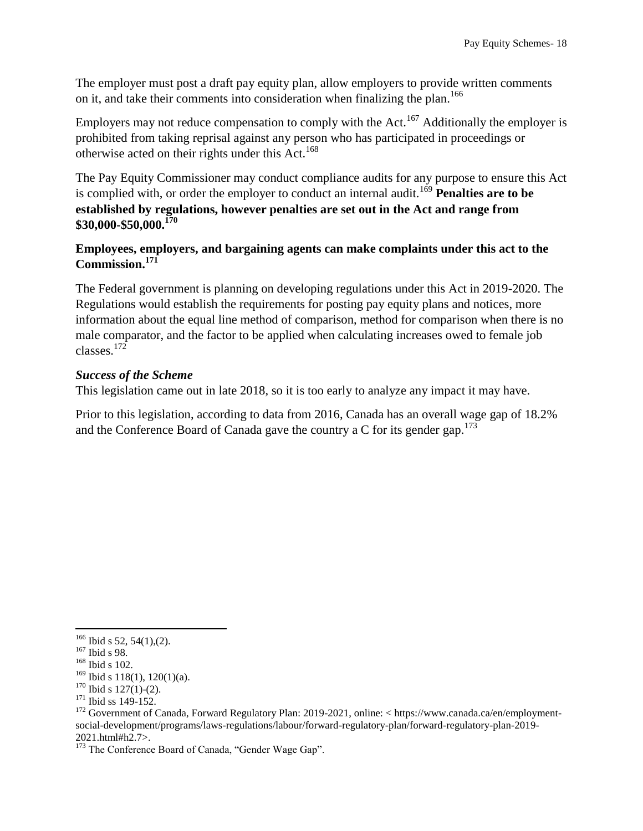The employer must post a draft pay equity plan, allow employers to provide written comments on it, and take their comments into consideration when finalizing the plan.<sup>166</sup>

Employers may not reduce compensation to comply with the Act.<sup>167</sup> Additionally the employer is prohibited from taking reprisal against any person who has participated in proceedings or otherwise acted on their rights under this Act.<sup>168</sup>

The Pay Equity Commissioner may conduct compliance audits for any purpose to ensure this Act is complied with, or order the employer to conduct an internal audit.<sup>169</sup> **Penalties are to be established by regulations, however penalties are set out in the Act and range from \$30,000-\$50,000.<sup>170</sup>**

#### **Employees, employers, and bargaining agents can make complaints under this act to the Commission.<sup>171</sup>**

The Federal government is planning on developing regulations under this Act in 2019-2020. The Regulations would establish the requirements for posting pay equity plans and notices, more information about the equal line method of comparison, method for comparison when there is no male comparator, and the factor to be applied when calculating increases owed to female job classes.<sup>172</sup>

#### <span id="page-18-0"></span>*Success of the Scheme*

This legislation came out in late 2018, so it is too early to analyze any impact it may have.

<span id="page-18-1"></span>Prior to this legislation, according to data from 2016, Canada has an overall wage gap of 18.2% and the Conference Board of Canada gave the country a C for its gender gap.<sup>173</sup>

 $166$  Ibid s 52, 54(1),(2).

<sup>167</sup> Ibid s 98.

<sup>168</sup> Ibid s 102.

<sup>&</sup>lt;sup>169</sup> Ibid s 118(1), 120(1)(a).

 $170$  Ibid s  $127(1)-(2)$ .

<sup>&</sup>lt;sup>171</sup> Ibid ss 149-152.

<sup>172</sup> Government of Canada, Forward Regulatory Plan: 2019-2021, online: < https://www.canada.ca/en/employmentsocial-development/programs/laws-regulations/labour/forward-regulatory-plan/forward-regulatory-plan-2019- 2021.html#h2.7>.

<sup>&</sup>lt;sup>173</sup> The Conference Board of Canada, "Gender Wage Gap".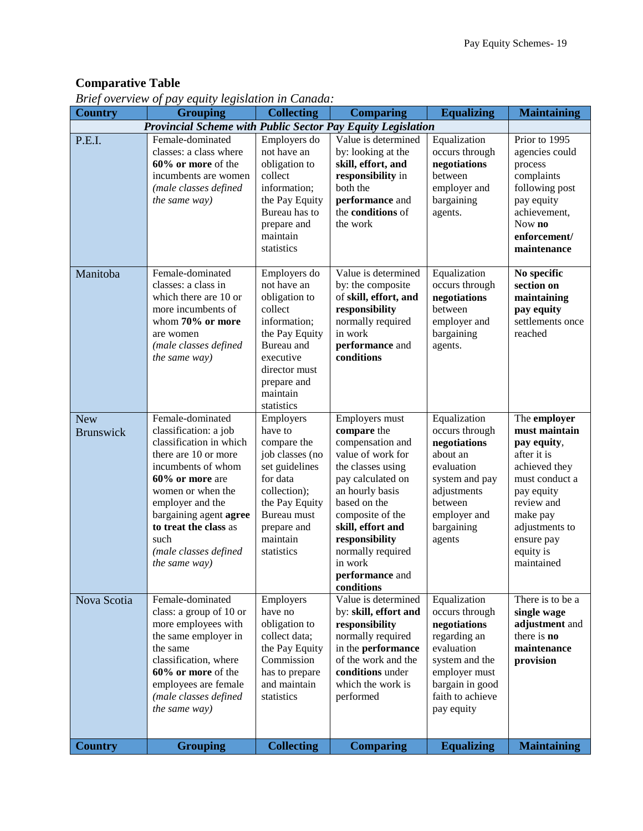# **Comparative Table**

| <b>Country</b>                 | Driej overview of pay equity tegistation in Canada.<br><b>Grouping</b>                                                                                                                                                                                                              | <b>Collecting</b>                                                                                                                                                              | <b>Comparing</b>                                                                                                                                                                                                                                                                | <b>Equalizing</b>                                                                                                                                                    | <b>Maintaining</b>                                                                                                                                                                                |
|--------------------------------|-------------------------------------------------------------------------------------------------------------------------------------------------------------------------------------------------------------------------------------------------------------------------------------|--------------------------------------------------------------------------------------------------------------------------------------------------------------------------------|---------------------------------------------------------------------------------------------------------------------------------------------------------------------------------------------------------------------------------------------------------------------------------|----------------------------------------------------------------------------------------------------------------------------------------------------------------------|---------------------------------------------------------------------------------------------------------------------------------------------------------------------------------------------------|
|                                | Provincial Scheme with Public Sector Pay Equity Legislation                                                                                                                                                                                                                         |                                                                                                                                                                                |                                                                                                                                                                                                                                                                                 |                                                                                                                                                                      |                                                                                                                                                                                                   |
| P.E.I.                         | Female-dominated<br>classes: a class where<br>60% or more of the<br>incumbents are women<br>(male classes defined<br>the same way)                                                                                                                                                  | Employers do<br>not have an<br>obligation to<br>collect<br>information;<br>the Pay Equity<br>Bureau has to<br>prepare and<br>maintain<br>statistics                            | Value is determined<br>by: looking at the<br>skill, effort, and<br>responsibility in<br>both the<br>performance and<br>the conditions of<br>the work                                                                                                                            | Equalization<br>occurs through<br>negotiations<br>between<br>employer and<br>bargaining<br>agents.                                                                   | Prior to 1995<br>agencies could<br>process<br>complaints<br>following post<br>pay equity<br>achievement,<br>Now no<br>enforcement/<br>maintenance                                                 |
| Manitoba                       | Female-dominated<br>classes: a class in<br>which there are 10 or<br>more incumbents of<br>whom 70% or more<br>are women<br>(male classes defined<br>the same way)                                                                                                                   | Employers do<br>not have an<br>obligation to<br>collect<br>information;<br>the Pay Equity<br>Bureau and<br>executive<br>director must<br>prepare and<br>maintain<br>statistics | Value is determined<br>by: the composite<br>of skill, effort, and<br>responsibility<br>normally required<br>in work<br>performance and<br>conditions                                                                                                                            | Equalization<br>occurs through<br>negotiations<br>between<br>employer and<br>bargaining<br>agents.                                                                   | No specific<br>section on<br>maintaining<br>pay equity<br>settlements once<br>reached                                                                                                             |
| <b>New</b><br><b>Brunswick</b> | Female-dominated<br>classification: a job<br>classification in which<br>there are 10 or more<br>incumbents of whom<br>60% or more are<br>women or when the<br>employer and the<br>bargaining agent agree<br>to treat the class as<br>such<br>(male classes defined<br>the same way) | Employers<br>have to<br>compare the<br>job classes (no<br>set guidelines<br>for data<br>collection);<br>the Pay Equity<br>Bureau must<br>prepare and<br>maintain<br>statistics | Employers must<br>compare the<br>compensation and<br>value of work for<br>the classes using<br>pay calculated on<br>an hourly basis<br>based on the<br>composite of the<br>skill, effort and<br>responsibility<br>normally required<br>in work<br>performance and<br>conditions | Equalization<br>occurs through<br>negotiations<br>about an<br>evaluation<br>system and pay<br>adjustments<br>between<br>employer and<br>bargaining<br>agents         | The employer<br>must maintain<br>pay equity,<br>after it is<br>achieved they<br>must conduct a<br>pay equity<br>review and<br>make pay<br>adjustments to<br>ensure pay<br>equity is<br>maintained |
| Nova Scotia                    | Female-dominated<br>class: a group of 10 or<br>more employees with<br>the same employer in<br>the same<br>classification, where<br>60% or more of the<br>employees are female<br>(male classes defined<br>the same way)                                                             | Employers<br>have no<br>obligation to<br>collect data;<br>the Pay Equity<br>Commission<br>has to prepare<br>and maintain<br>statistics                                         | Value is determined<br>by: skill, effort and<br>responsibility<br>normally required<br>in the performance<br>of the work and the<br>conditions under<br>which the work is<br>performed                                                                                          | Equalization<br>occurs through<br>negotiations<br>regarding an<br>evaluation<br>system and the<br>employer must<br>bargain in good<br>faith to achieve<br>pay equity | There is to be a<br>single wage<br>adjustment and<br>there is <b>no</b><br>maintenance<br>provision                                                                                               |
| <b>Country</b>                 | <b>Grouping</b>                                                                                                                                                                                                                                                                     | <b>Collecting</b>                                                                                                                                                              | <b>Comparing</b>                                                                                                                                                                                                                                                                | <b>Equalizing</b>                                                                                                                                                    | <b>Maintaining</b>                                                                                                                                                                                |

*Brief overview of pay equity legislation in Canada:*